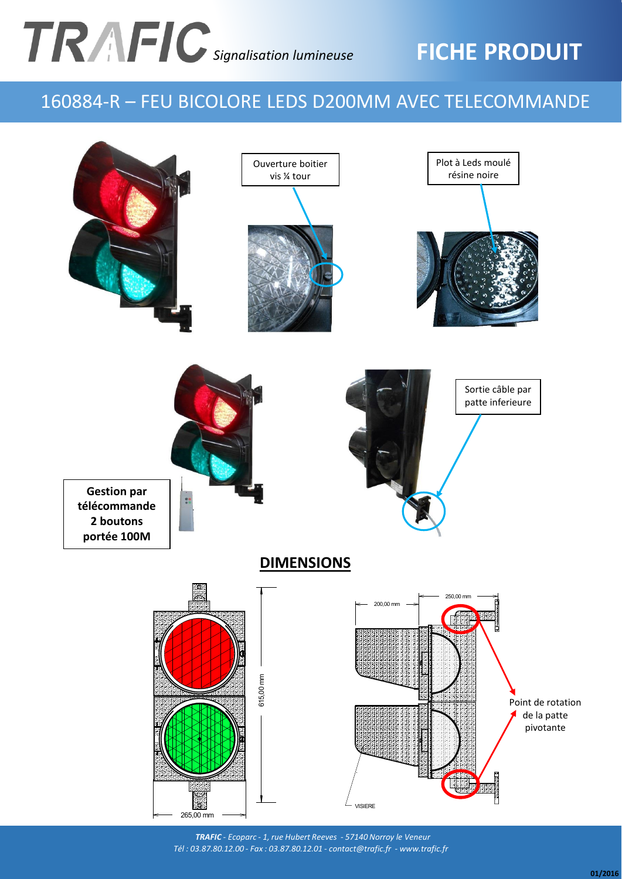# *Signalisation lumineuse*

## **FICHE PRODUIT**

### 160884-R – FEU BICOLORE LEDS D200MM AVEC TELECOMMANDE



*TRAFIC - Ecoparc - 1, rue Hubert Reeves - 57140 Norroy le Veneur Tél : 03.87.80.12.00 - Fax : 03.87.80.12.01 - contact@trafic.fr - www.trafic.fr*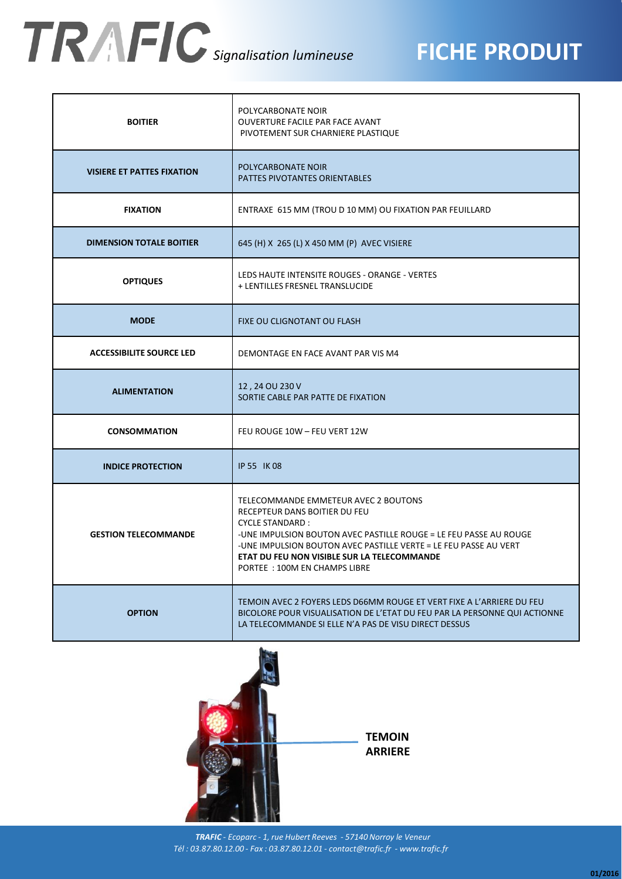## *Signalisation lumineuse*

### **FICHE PRODUIT**

| <b>BOITIER</b>                    | POLYCARBONATE NOIR<br><b>OUVERTURE FACILE PAR FACE AVANT</b><br>PIVOTEMENT SUR CHARNIERE PLASTIQUE                                                                                                                                                                                                                       |
|-----------------------------------|--------------------------------------------------------------------------------------------------------------------------------------------------------------------------------------------------------------------------------------------------------------------------------------------------------------------------|
| <b>VISIERE ET PATTES FIXATION</b> | POLYCARBONATE NOIR<br><b>PATTES PIVOTANTES ORIENTABLES</b>                                                                                                                                                                                                                                                               |
| <b>FIXATION</b>                   | ENTRAXE 615 MM (TROU D 10 MM) OU FIXATION PAR FEUILLARD                                                                                                                                                                                                                                                                  |
| <b>DIMENSION TOTALE BOITIER</b>   | 645 (H) X 265 (L) X 450 MM (P) AVEC VISIERE                                                                                                                                                                                                                                                                              |
| <b>OPTIQUES</b>                   | LEDS HAUTE INTENSITE ROUGES - ORANGE - VERTES<br>+ LENTILLES FRESNEL TRANSLUCIDE                                                                                                                                                                                                                                         |
| <b>MODE</b>                       | FIXE OU CLIGNOTANT OU FLASH                                                                                                                                                                                                                                                                                              |
| <b>ACCESSIBILITE SOURCE LED</b>   | DEMONTAGE EN FACE AVANT PAR VIS M4                                                                                                                                                                                                                                                                                       |
| <b>ALIMENTATION</b>               | 12, 24 OU 230 V<br>SORTIE CABLE PAR PATTE DE FIXATION                                                                                                                                                                                                                                                                    |
| <b>CONSOMMATION</b>               | FEU ROUGE 10W - FEU VERT 12W                                                                                                                                                                                                                                                                                             |
| <b>INDICE PROTECTION</b>          | IP 55 IK 08                                                                                                                                                                                                                                                                                                              |
| <b>GESTION TELECOMMANDE</b>       | TELECOMMANDE EMMETEUR AVEC 2 BOUTONS<br>RECEPTEUR DANS BOITIER DU FEU<br><b>CYCLE STANDARD:</b><br>-UNE IMPULSION BOUTON AVEC PASTILLE ROUGE = LE FEU PASSE AU ROUGE<br>-UNE IMPULSION BOUTON AVEC PASTILLE VERTE = LE FEU PASSE AU VERT<br>ETAT DU FEU NON VISIBLE SUR LA TELECOMMANDE<br>PORTEE : 100M EN CHAMPS LIBRE |
| <b>OPTION</b>                     | TEMOIN AVEC 2 FOYERS LEDS D66MM ROUGE ET VERT FIXE A L'ARRIERE DU FEU<br>BICOLORE POUR VISUALISATION DE L'ETAT DU FEU PAR LA PERSONNE QUI ACTIONNE<br>LA TELECOMMANDE SI ELLE N'A PAS DE VISU DIRECT DESSUS                                                                                                              |



*TRAFIC - Ecoparc - 1, rue Hubert Reeves - 57140 Norroy le Veneur Tél : 03.87.80.12.00 - Fax : 03.87.80.12.01 - contact@trafic.fr - www.trafic.fr*